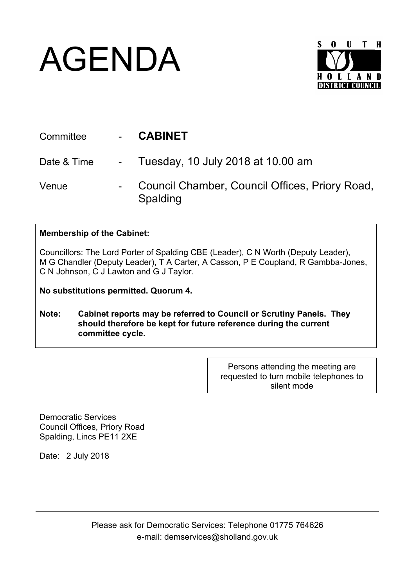## AGENDA



| Committee   | <b>CABINET</b>                                             |
|-------------|------------------------------------------------------------|
| Date & Time | - Tuesday, 10 July 2018 at 10.00 am                        |
| Venue       | Council Chamber, Council Offices, Priory Road,<br>Spalding |

## **Membership of the Cabinet:**

Councillors: The Lord Porter of Spalding CBE (Leader), C N Worth (Deputy Leader), M G Chandler (Deputy Leader), T A Carter, A Casson, P E Coupland, R Gambba-Jones, C N Johnson, C J Lawton and G J Taylor.

**No substitutions permitted. Quorum 4.**

**Note: Cabinet reports may be referred to Council or Scrutiny Panels. They should therefore be kept for future reference during the current committee cycle.** 

> Persons attending the meeting are requested to turn mobile telephones to silent mode

Democratic Services Council Offices, Priory Road Spalding, Lincs PE11 2XE

Date: 2 July 2018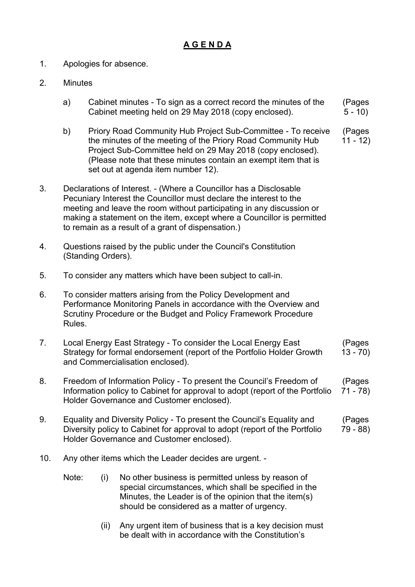## **A G E N D A**

- 1. Apologies for absence.
- 2. Minutes
	- a) Cabinet minutes To sign as a correct record the minutes of the Cabinet meeting held on 29 May 2018 (copy enclosed). (Pages  $5 - 10$
	- b) Priory Road Community Hub Project Sub-Committee To receive the minutes of the meeting of the Priory Road Community Hub Project Sub-Committee held on 29 May 2018 (copy enclosed). (Please note that these minutes contain an exempt item that is set out at agenda item number 12). (Pages 11 - 12)
- 3. Declarations of Interest. (Where a Councillor has a Disclosable Pecuniary Interest the Councillor must declare the interest to the meeting and leave the room without participating in any discussion or making a statement on the item, except where a Councillor is permitted to remain as a result of a grant of dispensation.)
- 4. Questions raised by the public under the Council's Constitution (Standing Orders).
- 5. To consider any matters which have been subject to call-in.
- 6. To consider matters arising from the Policy Development and Performance Monitoring Panels in accordance with the Overview and Scrutiny Procedure or the Budget and Policy Framework Procedure Rules.
- 7. Local Energy East Strategy To consider the Local Energy East Strategy for formal endorsement (report of the Portfolio Holder Growth and Commercialisation enclosed). (Pages 13 - 70)
- 8. Freedom of Information Policy To present the Council's Freedom of Information policy to Cabinet for approval to adopt (report of the Portfolio Holder Governance and Customer enclosed). (Pages 71 - 78)
- 9. Equality and Diversity Policy To present the Council's Equality and Diversity policy to Cabinet for approval to adopt (report of the Portfolio Holder Governance and Customer enclosed). (Pages 79 - 88)
- 10. Any other items which the Leader decides are urgent.
	- Note: (i) No other business is permitted unless by reason of special circumstances, which shall be specified in the Minutes, the Leader is of the opinion that the item(s) should be considered as a matter of urgency.
		- (ii) Any urgent item of business that is a key decision must be dealt with in accordance with the Constitution's